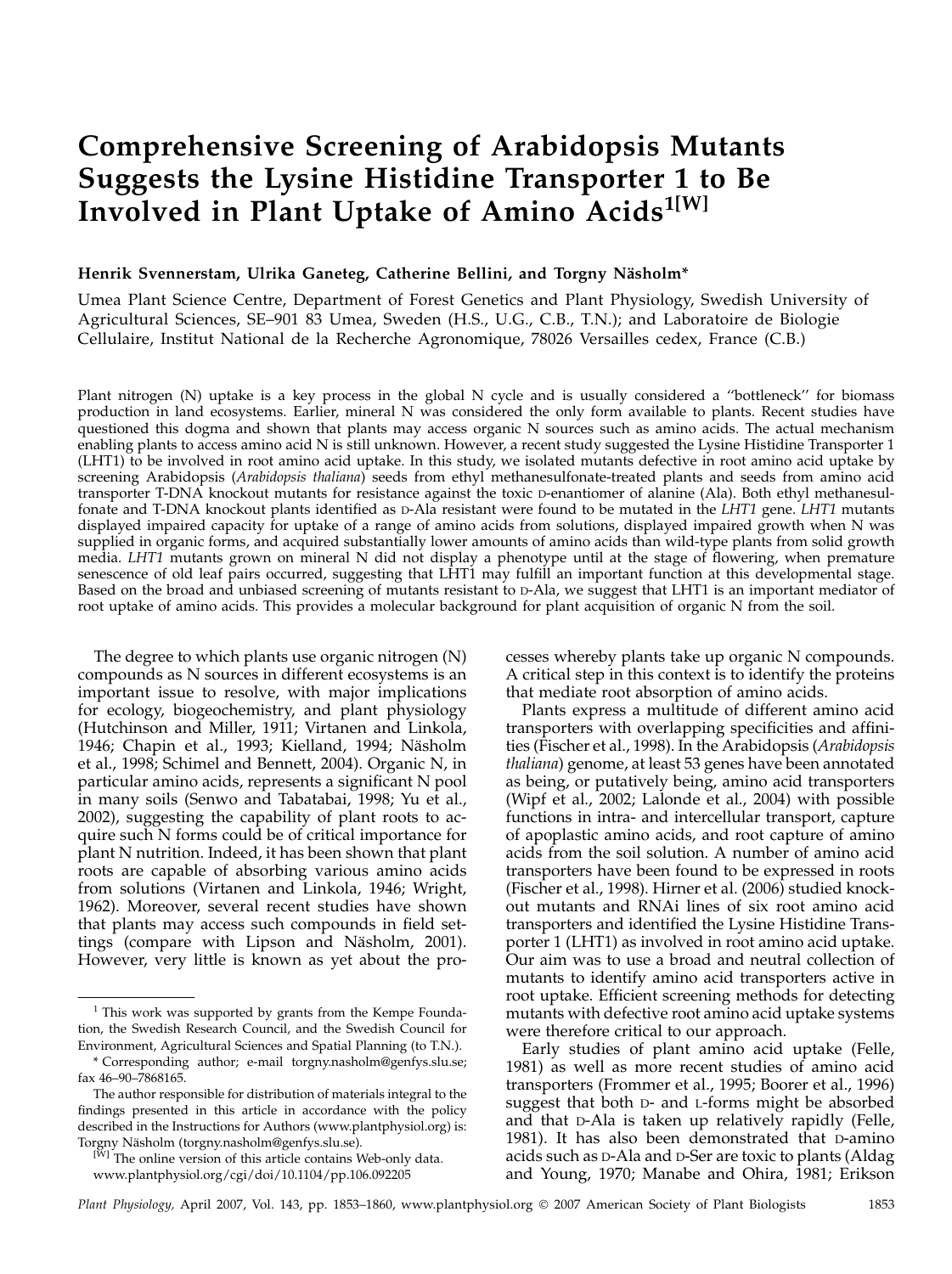# Comprehensive Screening of Arabidopsis Mutants Suggests the Lysine Histidine Transporter 1 to Be Involved in Plant Uptake of Amino Acids<sup>1[W]</sup>

# Henrik Svennerstam, Ulrika Ganeteg, Catherine Bellini, and Torgny Näsholm\*

Umea Plant Science Centre, Department of Forest Genetics and Plant Physiology, Swedish University of Agricultural Sciences, SE–901 83 Umea, Sweden (H.S., U.G., C.B., T.N.); and Laboratoire de Biologie Cellulaire, Institut National de la Recherche Agronomique, 78026 Versailles cedex, France (C.B.)

Plant nitrogen (N) uptake is a key process in the global N cycle and is usually considered a "bottleneck" for biomass production in land ecosystems. Earlier, mineral N was considered the only form available to plants. Recent studies have questioned this dogma and shown that plants may access organic N sources such as amino acids. The actual mechanism enabling plants to access amino acid N is still unknown. However, a recent study suggested the Lysine Histidine Transporter 1 (LHT1) to be involved in root amino acid uptake. In this study, we isolated mutants defective in root amino acid uptake by screening Arabidopsis (Arabidopsis thaliana) seeds from ethyl methanesulfonate-treated plants and seeds from amino acid transporter T-DNA knockout mutants for resistance against the toxic D-enantiomer of alanine (Ala). Both ethyl methanesulfonate and T-DNA knockout plants identified as D-Ala resistant were found to be mutated in the LHT1 gene. LHT1 mutants displayed impaired capacity for uptake of a range of amino acids from solutions, displayed impaired growth when N was supplied in organic forms, and acquired substantially lower amounts of amino acids than wild-type plants from solid growth media. LHT1 mutants grown on mineral N did not display a phenotype until at the stage of flowering, when premature senescence of old leaf pairs occurred, suggesting that LHT1 may fulfill an important function at this developmental stage. Based on the broad and unbiased screening of mutants resistant to D-Ala, we suggest that LHT1 is an important mediator of root uptake of amino acids. This provides a molecular background for plant acquisition of organic N from the soil.

The degree to which plants use organic nitrogen (N) compounds as N sources in different ecosystems is an important issue to resolve, with major implications for ecology, biogeochemistry, and plant physiology (Hutchinson and Miller, 1911; Virtanen and Linkola, 1946; Chapin et al., 1993; Kielland, 1994; Näsholm et al., 1998; Schimel and Bennett, 2004). Organic N, in particular amino acids, represents a significant N pool in many soils (Senwo and Tabatabai, 1998; Yu et al., 2002), suggesting the capability of plant roots to acquire such N forms could be of critical importance for plant N nutrition. Indeed, it has been shown that plant roots are capable of absorbing various amino acids from solutions (Virtanen and Linkola, 1946; Wright, 1962). Moreover, several recent studies have shown that plants may access such compounds in field settings (compare with Lipson and Näsholm, 2001). However, very little is known as yet about the processes whereby plants take up organic N compounds. A critical step in this context is to identify the proteins that mediate root absorption of amino acids.

Plants express a multitude of different amino acid transporters with overlapping specificities and affinities (Fischer et al., 1998). In the Arabidopsis (Arabidopsis thaliana) genome, at least 53 genes have been annotated as being, or putatively being, amino acid transporters (Wipf et al., 2002; Lalonde et al., 2004) with possible functions in intra- and intercellular transport, capture of apoplastic amino acids, and root capture of amino acids from the soil solution. A number of amino acid transporters have been found to be expressed in roots (Fischer et al., 1998). Hirner et al. (2006) studied knockout mutants and RNAi lines of six root amino acid transporters and identified the Lysine Histidine Transporter 1 (LHT1) as involved in root amino acid uptake. Our aim was to use a broad and neutral collection of mutants to identify amino acid transporters active in root uptake. Efficient screening methods for detecting mutants with defective root amino acid uptake systems were therefore critical to our approach.

Early studies of plant amino acid uptake (Felle, 1981) as well as more recent studies of amino acid transporters (Frommer et al., 1995; Boorer et al., 1996) suggest that both D- and L-forms might be absorbed and that D-Ala is taken up relatively rapidly (Felle, 1981). It has also been demonstrated that D-amino acids such as D-Ala and D-Ser are toxic to plants (Aldag and Young, 1970; Manabe and Ohira, 1981; Erikson

 $1$  This work was supported by grants from the Kempe Foundation, the Swedish Research Council, and the Swedish Council for Environment, Agricultural Sciences and Spatial Planning (to T.N.).

<sup>\*</sup> Corresponding author; e-mail torgny.nasholm@genfys.slu.se; fax 46–90–7868165.

The author responsible for distribution of materials integral to the findings presented in this article in accordance with the policy described in the Instructions for Authors (www.plantphysiol.org) is: Torgny Näsholm (torgny.nasholm@genfys.slu.se).

<sup>&</sup>lt;sup>[W]</sup> The online version of this article contains Web-only data. www.plantphysiol.org/cgi/doi/10.1104/pp.106.092205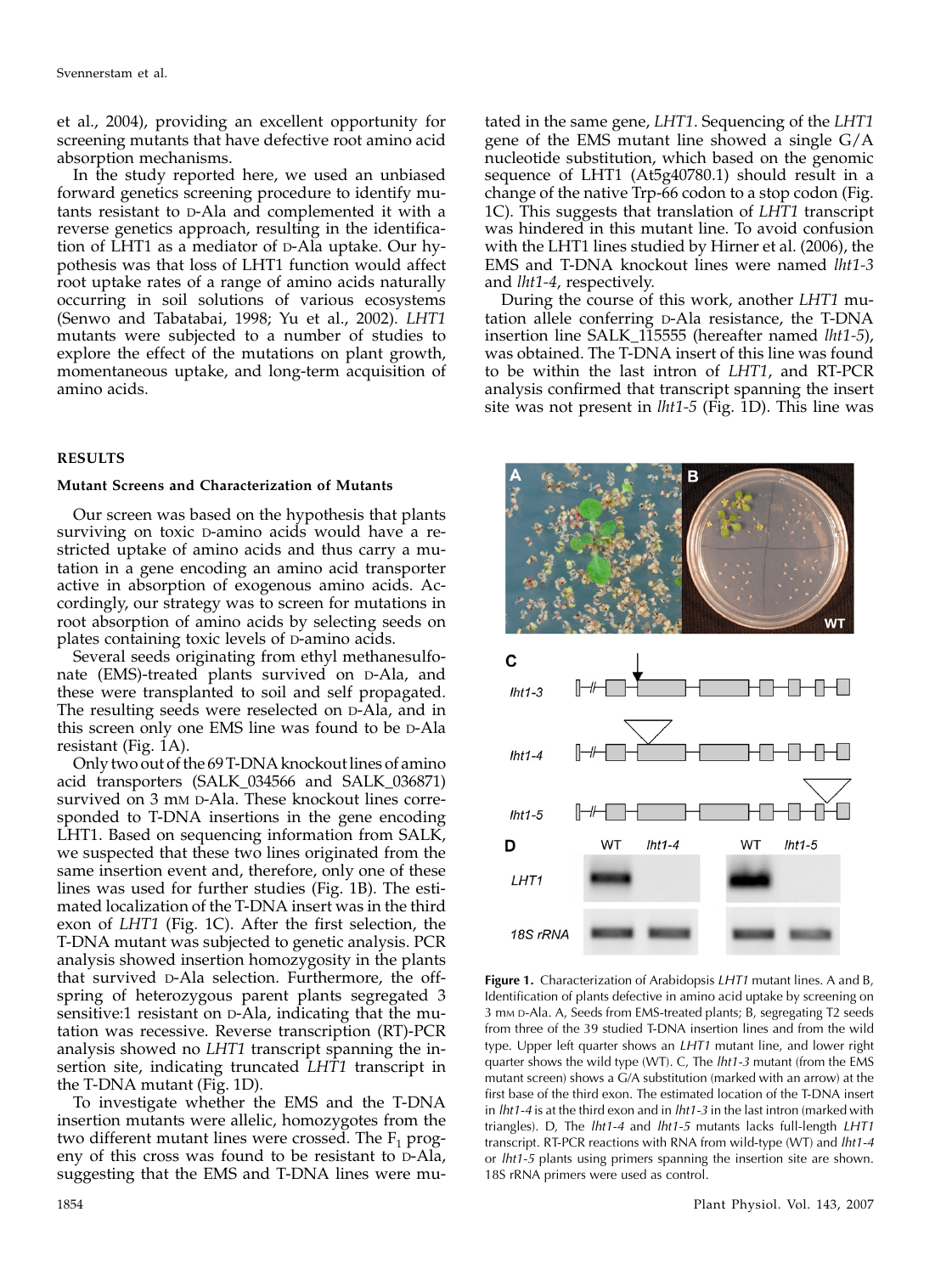et al., 2004), providing an excellent opportunity for screening mutants that have defective root amino acid absorption mechanisms.

In the study reported here, we used an unbiased forward genetics screening procedure to identify mutants resistant to D-Ala and complemented it with a reverse genetics approach, resulting in the identification of LHT1 as a mediator of D-Ala uptake. Our hypothesis was that loss of LHT1 function would affect root uptake rates of a range of amino acids naturally occurring in soil solutions of various ecosystems (Senwo and Tabatabai, 1998; Yu et al., 2002). LHT1 mutants were subjected to a number of studies to explore the effect of the mutations on plant growth, momentaneous uptake, and long-term acquisition of amino acids.

# RESULTS

# Mutant Screens and Characterization of Mutants

Our screen was based on the hypothesis that plants surviving on toxic D-amino acids would have a restricted uptake of amino acids and thus carry a mutation in a gene encoding an amino acid transporter active in absorption of exogenous amino acids. Accordingly, our strategy was to screen for mutations in root absorption of amino acids by selecting seeds on plates containing toxic levels of D-amino acids.

Several seeds originating from ethyl methanesulfonate (EMS)-treated plants survived on D-Ala, and these were transplanted to soil and self propagated. The resulting seeds were reselected on D-Ala, and in this screen only one EMS line was found to be D-Ala resistant (Fig. 1A).

Only two out of the 69 T-DNA knockout lines of amino acid transporters (SALK\_034566 and SALK\_036871) survived on 3 mm D-Ala. These knockout lines corresponded to T-DNA insertions in the gene encoding LHT1. Based on sequencing information from SALK, we suspected that these two lines originated from the same insertion event and, therefore, only one of these lines was used for further studies (Fig. 1B). The estimated localization of the T-DNA insert was in the third exon of LHT1 (Fig. 1C). After the first selection, the T-DNA mutant was subjected to genetic analysis. PCR analysis showed insertion homozygosity in the plants that survived D-Ala selection. Furthermore, the offspring of heterozygous parent plants segregated 3 sensitive:1 resistant on D-Ala, indicating that the mutation was recessive. Reverse transcription (RT)-PCR analysis showed no LHT1 transcript spanning the insertion site, indicating truncated LHT1 transcript in the T-DNA mutant (Fig. 1D).

To investigate whether the EMS and the T-DNA insertion mutants were allelic, homozygotes from the two different mutant lines were crossed. The  $F_1$  progeny of this cross was found to be resistant to D-Ala, suggesting that the EMS and T-DNA lines were mu-

tated in the same gene, LHT1. Sequencing of the LHT1 gene of the EMS mutant line showed a single G/A nucleotide substitution, which based on the genomic sequence of LHT1 (At5g40780.1) should result in a change of the native Trp-66 codon to a stop codon (Fig. 1C). This suggests that translation of LHT1 transcript was hindered in this mutant line. To avoid confusion with the LHT1 lines studied by Hirner et al. (2006), the EMS and T-DNA knockout lines were named lht1-3 and lht1-4, respectively.

During the course of this work, another LHT1 mutation allele conferring D-Ala resistance, the T-DNA insertion line SALK 115555 (hereafter named *lht1-5*), was obtained. The T-DNA insert of this line was found to be within the last intron of LHT1, and RT-PCR analysis confirmed that transcript spanning the insert site was not present in  $lht1-5$  (Fig. 1D). This line was



Figure 1. Characterization of Arabidopsis LHT1 mutant lines. A and B, Identification of plants defective in amino acid uptake by screening on 3 mM D-Ala. A, Seeds from EMS-treated plants; B, segregating T2 seeds from three of the 39 studied T-DNA insertion lines and from the wild type. Upper left quarter shows an LHT1 mutant line, and lower right quarter shows the wild type (WT). C, The *lht1-3* mutant (from the EMS mutant screen) shows a G/A substitution (marked with an arrow) at the first base of the third exon. The estimated location of the T-DNA insert in  $lht1-4$  is at the third exon and in  $lht1-3$  in the last intron (marked with triangles). D, The lht1-4 and lht1-5 mutants lacks full-length LHT1 transcript. RT-PCR reactions with RNA from wild-type (WT) and lht1-4 or *lht1-5* plants using primers spanning the insertion site are shown. 18S rRNA primers were used as control.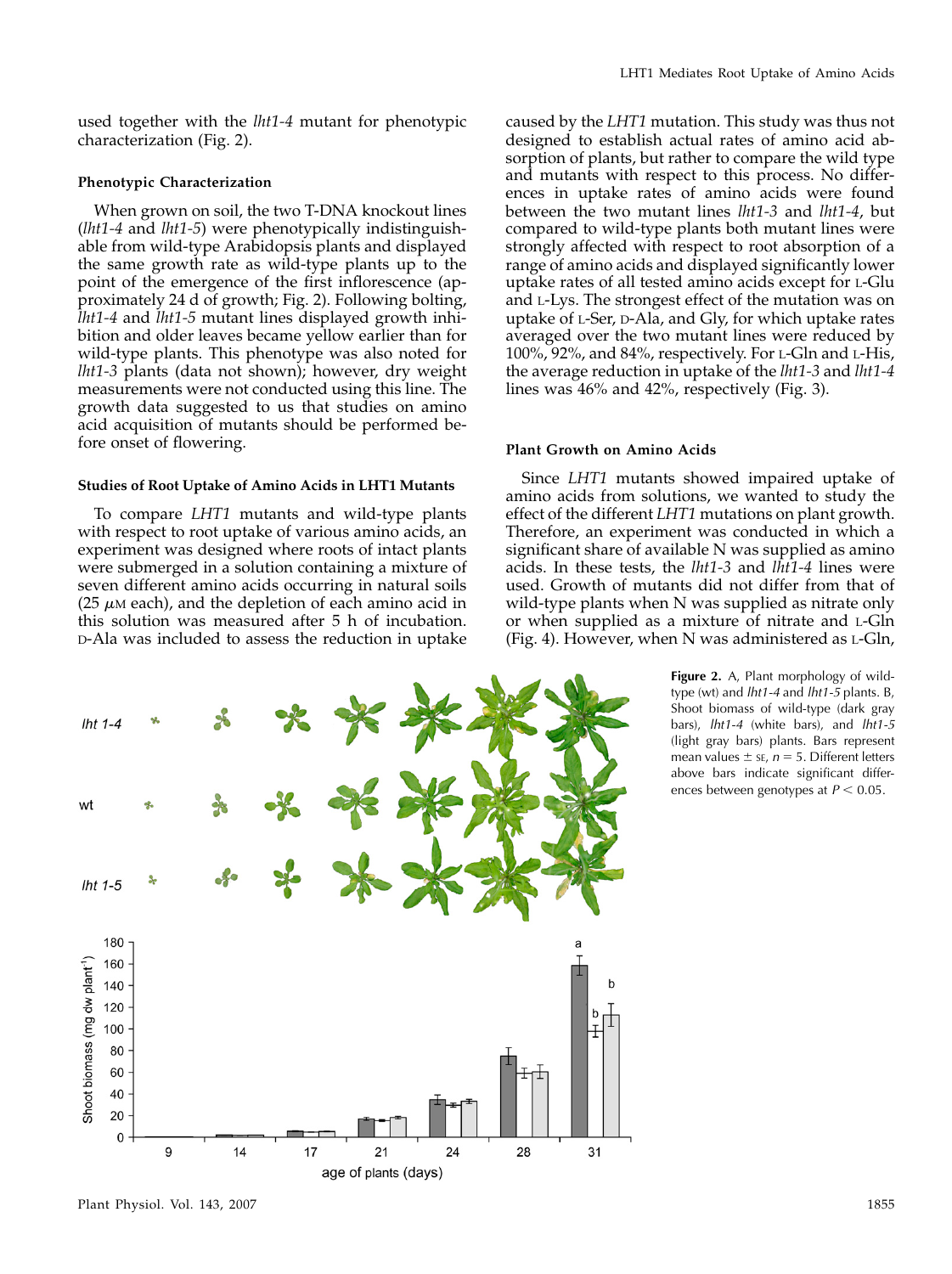used together with the lht1-4 mutant for phenotypic characterization (Fig. 2).

## Phenotypic Characterization

When grown on soil, the two T-DNA knockout lines (lht1-4 and lht1-5) were phenotypically indistinguishable from wild-type Arabidopsis plants and displayed the same growth rate as wild-type plants up to the point of the emergence of the first inflorescence (approximately 24 d of growth; Fig. 2). Following bolting, lht1-4 and lht1-5 mutant lines displayed growth inhibition and older leaves became yellow earlier than for wild-type plants. This phenotype was also noted for lht1-3 plants (data not shown); however, dry weight measurements were not conducted using this line. The growth data suggested to us that studies on amino acid acquisition of mutants should be performed before onset of flowering.

#### Studies of Root Uptake of Amino Acids in LHT1 Mutants

To compare LHT1 mutants and wild-type plants with respect to root uptake of various amino acids, an experiment was designed where roots of intact plants were submerged in a solution containing a mixture of seven different amino acids occurring in natural soils (25  $\mu$ M each), and the depletion of each amino acid in this solution was measured after 5 h of incubation. D-Ala was included to assess the reduction in uptake



caused by the LHT1 mutation. This study was thus not designed to establish actual rates of amino acid absorption of plants, but rather to compare the wild type and mutants with respect to this process. No differences in uptake rates of amino acids were found between the two mutant lines lht1-3 and lht1-4, but compared to wild-type plants both mutant lines were strongly affected with respect to root absorption of a range of amino acids and displayed significantly lower uptake rates of all tested amino acids except for L-Glu and L-Lys. The strongest effect of the mutation was on uptake of L-Ser, D-Ala, and Gly, for which uptake rates averaged over the two mutant lines were reduced by 100%, 92%, and 84%, respectively. For L-Gln and L-His, the average reduction in uptake of the lht1-3 and lht1-4 lines was 46% and 42%, respectively (Fig. 3).

## Plant Growth on Amino Acids

Since LHT1 mutants showed impaired uptake of amino acids from solutions, we wanted to study the effect of the different LHT1 mutations on plant growth. Therefore, an experiment was conducted in which a significant share of available N was supplied as amino acids. In these tests, the lht1-3 and lht1-4 lines were used. Growth of mutants did not differ from that of wild-type plants when N was supplied as nitrate only or when supplied as a mixture of nitrate and L-Gln (Fig. 4). However, when N was administered as L-Gln,

> Figure 2. A, Plant morphology of wildtype (wt) and lht1-4 and lht1-5 plants. B, Shoot biomass of wild-type (dark gray bars), lht1-4 (white bars), and lht1-5 (light gray bars) plants. Bars represent mean values  $\pm$  sE,  $n = 5$ . Different letters above bars indicate significant differences between genotypes at  $P < 0.05$ .



Plant Physiol. Vol. 143, 2007 1855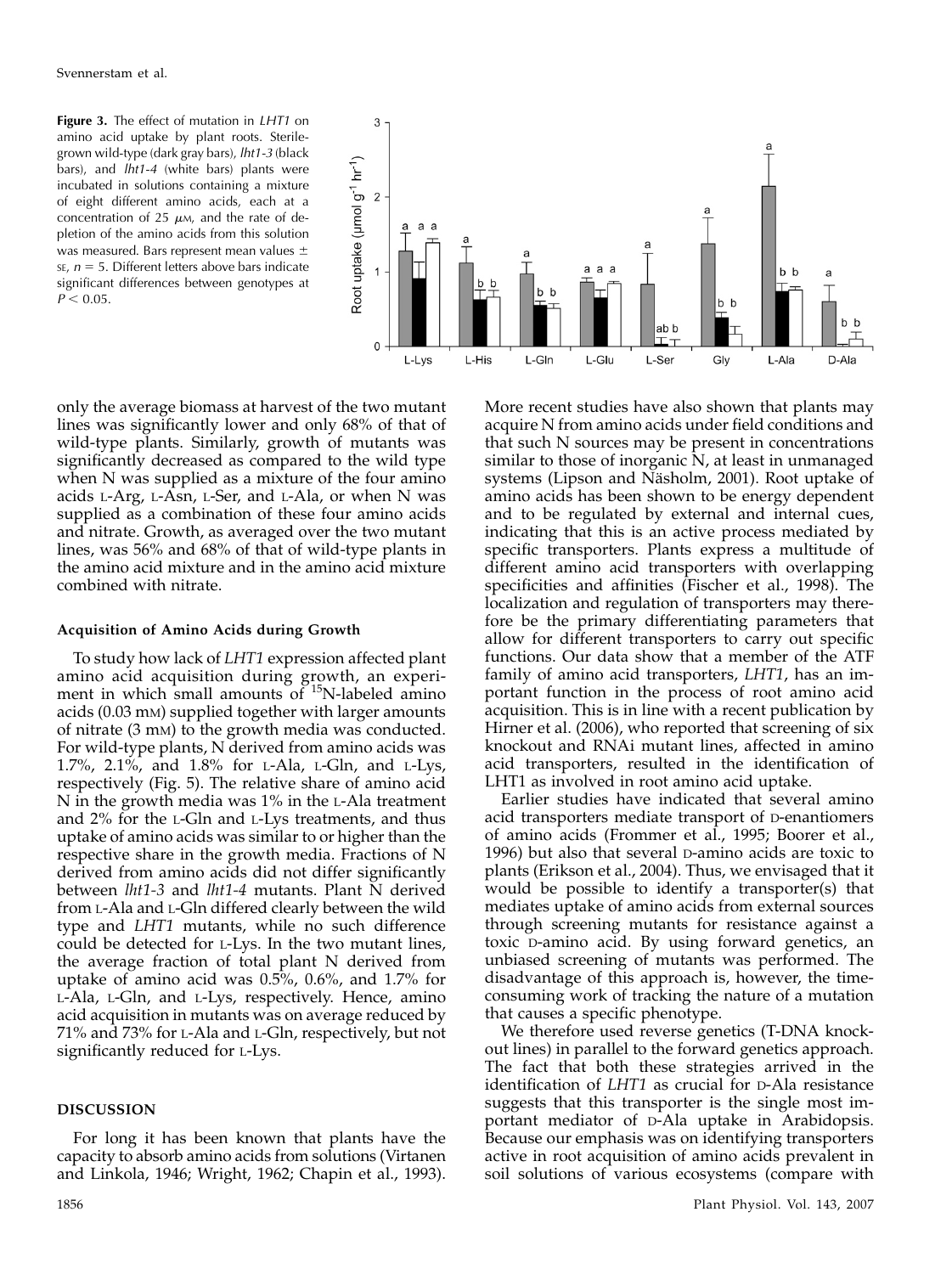Figure 3. The effect of mutation in LHT1 on amino acid uptake by plant roots. Sterilegrown wild-type (dark gray bars), lht1-3 (black bars), and *lht1-4* (white bars) plants were incubated in solutions containing a mixture of eight different amino acids, each at a concentration of 25  $\mu$ M, and the rate of depletion of the amino acids from this solution was measured. Bars represent mean values  $\pm$ SE,  $n = 5$ . Different letters above bars indicate significant differences between genotypes at  $P < 0.05$ .



only the average biomass at harvest of the two mutant lines was significantly lower and only 68% of that of wild-type plants. Similarly, growth of mutants was significantly decreased as compared to the wild type when N was supplied as a mixture of the four amino acids L-Arg, L-Asn, L-Ser, and L-Ala, or when N was supplied as a combination of these four amino acids and nitrate. Growth, as averaged over the two mutant lines, was 56% and 68% of that of wild-type plants in the amino acid mixture and in the amino acid mixture combined with nitrate.

# Acquisition of Amino Acids during Growth

To study how lack of LHT1 expression affected plant amino acid acquisition during growth, an experiment in which small amounts of  $^{15}N$ -labeled amino acids (0.03 mM) supplied together with larger amounts of nitrate (3 mM) to the growth media was conducted. For wild-type plants, N derived from amino acids was 1.7%, 2.1%, and 1.8% for L-Ala, L-Gln, and L-Lys, respectively (Fig. 5). The relative share of amino acid N in the growth media was 1% in the L-Ala treatment and 2% for the L-Gln and L-Lys treatments, and thus uptake of amino acids was similar to or higher than the respective share in the growth media. Fractions of N derived from amino acids did not differ significantly between *lht1-3* and *lht1-4* mutants. Plant N derived from L-Ala and L-Gln differed clearly between the wild type and LHT1 mutants, while no such difference could be detected for L-Lys. In the two mutant lines, the average fraction of total plant N derived from uptake of amino acid was 0.5%, 0.6%, and 1.7% for L-Ala, L-Gln, and L-Lys, respectively. Hence, amino acid acquisition in mutants was on average reduced by 71% and 73% for L-Ala and L-Gln, respectively, but not significantly reduced for L-Lys.

# DISCUSSION

For long it has been known that plants have the capacity to absorb amino acids from solutions (Virtanen and Linkola, 1946; Wright, 1962; Chapin et al., 1993).

More recent studies have also shown that plants may acquire N from amino acids under field conditions and that such N sources may be present in concentrations similar to those of inorganic N, at least in unmanaged systems (Lipson and Näsholm, 2001). Root uptake of amino acids has been shown to be energy dependent and to be regulated by external and internal cues, indicating that this is an active process mediated by specific transporters. Plants express a multitude of different amino acid transporters with overlapping specificities and affinities (Fischer et al., 1998). The localization and regulation of transporters may therefore be the primary differentiating parameters that allow for different transporters to carry out specific functions. Our data show that a member of the ATF family of amino acid transporters, LHT1, has an important function in the process of root amino acid acquisition. This is in line with a recent publication by Hirner et al. (2006), who reported that screening of six knockout and RNAi mutant lines, affected in amino acid transporters, resulted in the identification of LHT1 as involved in root amino acid uptake.

Earlier studies have indicated that several amino acid transporters mediate transport of D-enantiomers of amino acids (Frommer et al., 1995; Boorer et al., 1996) but also that several D-amino acids are toxic to plants (Erikson et al., 2004). Thus, we envisaged that it would be possible to identify a transporter(s) that mediates uptake of amino acids from external sources through screening mutants for resistance against a toxic D-amino acid. By using forward genetics, an unbiased screening of mutants was performed. The disadvantage of this approach is, however, the timeconsuming work of tracking the nature of a mutation that causes a specific phenotype.

We therefore used reverse genetics (T-DNA knockout lines) in parallel to the forward genetics approach. The fact that both these strategies arrived in the identification of LHT1 as crucial for D-Ala resistance suggests that this transporter is the single most important mediator of D-Ala uptake in Arabidopsis. Because our emphasis was on identifying transporters active in root acquisition of amino acids prevalent in soil solutions of various ecosystems (compare with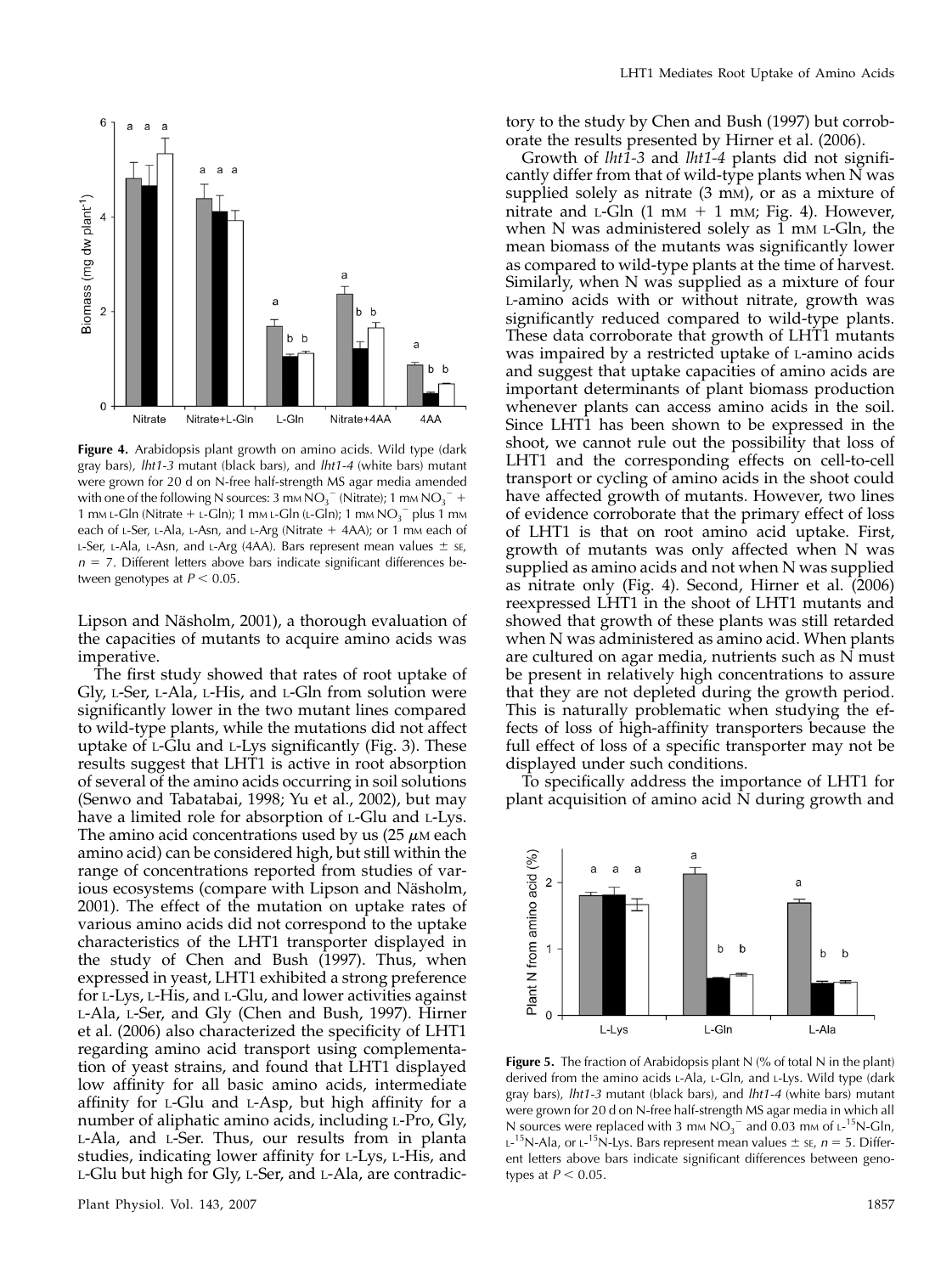

Figure 4. Arabidopsis plant growth on amino acids. Wild type (dark gray bars), lht1-3 mutant (black bars), and lht1-4 (white bars) mutant were grown for 20 d on N-free half-strength MS agar media amended with one of the following N sources: 3 mm  $NO_3^-$  (Nitrate); 1 mm  $NO_3^-$  + 1 mm L-Gln (Nitrate + L-Gln); 1 mm L-Gln (L-Gln); 1 mm  $NO<sub>3</sub><sup>-</sup>$  plus 1 mm each of L-Ser, L-Ala, L-Asn, and L-Arg (Nitrate  $+$  4AA); or 1 mm each of L-Ser, L-Ala, L-Asn, and L-Arg (4AA). Bars represent mean values  $\pm$  sE,  $n = 7$ . Different letters above bars indicate significant differences between genotypes at  $P < 0.05$ .

Lipson and Näsholm, 2001), a thorough evaluation of the capacities of mutants to acquire amino acids was imperative.

The first study showed that rates of root uptake of Gly, L-Ser, L-Ala, L-His, and L-Gln from solution were significantly lower in the two mutant lines compared to wild-type plants, while the mutations did not affect uptake of L-Glu and L-Lys significantly (Fig. 3). These results suggest that LHT1 is active in root absorption of several of the amino acids occurring in soil solutions (Senwo and Tabatabai, 1998; Yu et al., 2002), but may have a limited role for absorption of L-Glu and L-Lys. The amino acid concentrations used by us  $(25 \mu)$  each amino acid) can be considered high, but still within the range of concentrations reported from studies of various ecosystems (compare with Lipson and Näsholm, 2001). The effect of the mutation on uptake rates of various amino acids did not correspond to the uptake characteristics of the LHT1 transporter displayed in the study of Chen and Bush (1997). Thus, when expressed in yeast, LHT1 exhibited a strong preference for L-Lys, L-His, and L-Glu, and lower activities against L-Ala, L-Ser, and Gly (Chen and Bush, 1997). Hirner et al. (2006) also characterized the specificity of LHT1 regarding amino acid transport using complementation of yeast strains, and found that LHT1 displayed low affinity for all basic amino acids, intermediate affinity for L-Glu and L-Asp, but high affinity for a number of aliphatic amino acids, including L-Pro, Gly, L-Ala, and L-Ser. Thus, our results from in planta studies, indicating lower affinity for L-Lys, L-His, and L-Glu but high for Gly, L-Ser, and L-Ala, are contradictory to the study by Chen and Bush (1997) but corroborate the results presented by Hirner et al. (2006).

Growth of lht1-3 and lht1-4 plants did not significantly differ from that of wild-type plants when N was supplied solely as nitrate  $(3 \text{ mm})$ , or as a mixture of nitrate and L-Gln  $(1 \text{ mm} + 1 \text{ mm})$ ; Fig. 4). However, when N was administered solely as  $1 \text{ mm } L$ -Gln, the mean biomass of the mutants was significantly lower as compared to wild-type plants at the time of harvest. Similarly, when N was supplied as a mixture of four L-amino acids with or without nitrate, growth was significantly reduced compared to wild-type plants. These data corroborate that growth of LHT1 mutants was impaired by a restricted uptake of L-amino acids and suggest that uptake capacities of amino acids are important determinants of plant biomass production whenever plants can access amino acids in the soil. Since LHT1 has been shown to be expressed in the shoot, we cannot rule out the possibility that loss of LHT1 and the corresponding effects on cell-to-cell transport or cycling of amino acids in the shoot could have affected growth of mutants. However, two lines of evidence corroborate that the primary effect of loss of LHT1 is that on root amino acid uptake. First, growth of mutants was only affected when N was supplied as amino acids and not when N was supplied as nitrate only (Fig. 4). Second, Hirner et al. (2006) reexpressed LHT1 in the shoot of LHT1 mutants and showed that growth of these plants was still retarded when N was administered as amino acid. When plants are cultured on agar media, nutrients such as N must be present in relatively high concentrations to assure that they are not depleted during the growth period. This is naturally problematic when studying the effects of loss of high-affinity transporters because the full effect of loss of a specific transporter may not be displayed under such conditions.

To specifically address the importance of LHT1 for plant acquisition of amino acid N during growth and



Figure 5. The fraction of Arabidopsis plant N (% of total N in the plant) derived from the amino acids L-Ala, L-Gln, and L-Lys. Wild type (dark gray bars), lht1-3 mutant (black bars), and lht1-4 (white bars) mutant were grown for 20 d on N-free half-strength MS agar media in which all N sources were replaced with 3 mm  $NO<sub>3</sub><sup>-</sup>$  and 0.03 mm of  $L<sup>-15</sup>N$ -Gln,  $L$ <sup>-15</sup>N-Ala, or  $L$ <sup>-15</sup>N-Lys. Bars represent mean values  $\pm$  se,  $n = 5$ . Different letters above bars indicate significant differences between genotypes at  $P < 0.05$ .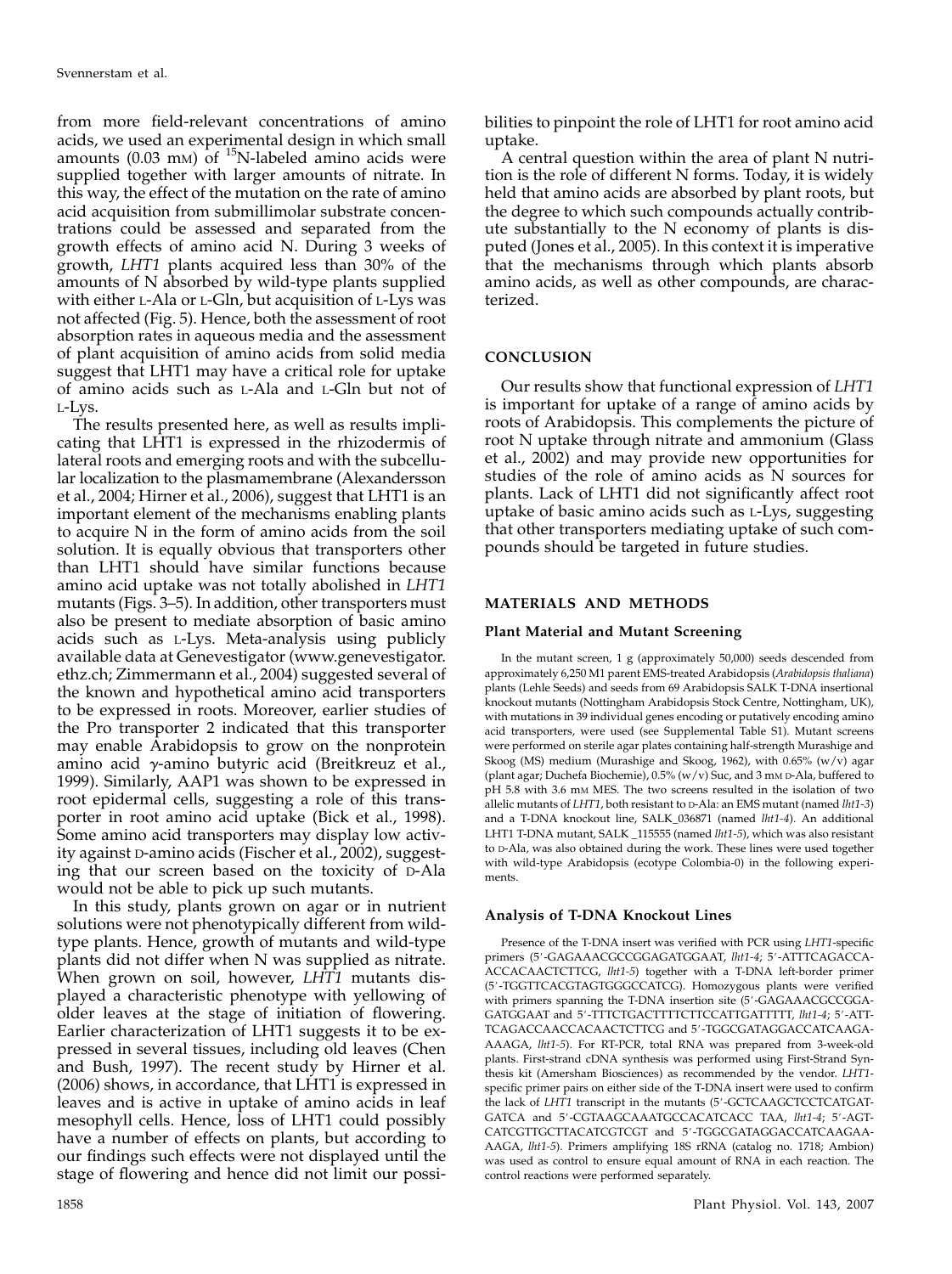from more field-relevant concentrations of amino acids, we used an experimental design in which small amounts (0.03 mm) of  $^{15}$ N-labeled amino acids were supplied together with larger amounts of nitrate. In this way, the effect of the mutation on the rate of amino acid acquisition from submillimolar substrate concentrations could be assessed and separated from the growth effects of amino acid N. During 3 weeks of growth, LHT1 plants acquired less than 30% of the amounts of N absorbed by wild-type plants supplied with either L-Ala or L-Gln, but acquisition of L-Lys was not affected (Fig. 5). Hence, both the assessment of root absorption rates in aqueous media and the assessment of plant acquisition of amino acids from solid media suggest that LHT1 may have a critical role for uptake of amino acids such as L-Ala and L-Gln but not of L-Lys.

The results presented here, as well as results implicating that LHT1 is expressed in the rhizodermis of lateral roots and emerging roots and with the subcellular localization to the plasmamembrane (Alexandersson et al., 2004; Hirner et al., 2006), suggest that LHT1 is an important element of the mechanisms enabling plants to acquire N in the form of amino acids from the soil solution. It is equally obvious that transporters other than LHT1 should have similar functions because amino acid uptake was not totally abolished in LHT1 mutants (Figs. 3–5). In addition, other transporters must also be present to mediate absorption of basic amino acids such as L-Lys. Meta-analysis using publicly available data at Genevestigator (www.genevestigator. ethz.ch; Zimmermann et al., 2004) suggested several of the known and hypothetical amino acid transporters to be expressed in roots. Moreover, earlier studies of the Pro transporter 2 indicated that this transporter may enable Arabidopsis to grow on the nonprotein amino acid  $\gamma$ -amino butyric acid (Breitkreuz et al., 1999). Similarly, AAP1 was shown to be expressed in root epidermal cells, suggesting a role of this transporter in root amino acid uptake (Bick et al., 1998). Some amino acid transporters may display low activity against D-amino acids (Fischer et al., 2002), suggesting that our screen based on the toxicity of D-Ala would not be able to pick up such mutants.

In this study, plants grown on agar or in nutrient solutions were not phenotypically different from wildtype plants. Hence, growth of mutants and wild-type plants did not differ when N was supplied as nitrate. When grown on soil, however, LHT1 mutants displayed a characteristic phenotype with yellowing of older leaves at the stage of initiation of flowering. Earlier characterization of LHT1 suggests it to be expressed in several tissues, including old leaves (Chen and Bush, 1997). The recent study by Hirner et al. (2006) shows, in accordance, that LHT1 is expressed in leaves and is active in uptake of amino acids in leaf mesophyll cells. Hence, loss of LHT1 could possibly have a number of effects on plants, but according to our findings such effects were not displayed until the stage of flowering and hence did not limit our possi-

bilities to pinpoint the role of LHT1 for root amino acid uptake.

A central question within the area of plant N nutrition is the role of different N forms. Today, it is widely held that amino acids are absorbed by plant roots, but the degree to which such compounds actually contribute substantially to the N economy of plants is disputed (Jones et al., 2005). In this context it is imperative that the mechanisms through which plants absorb amino acids, as well as other compounds, are characterized.

# **CONCLUSION**

Our results show that functional expression of LHT1 is important for uptake of a range of amino acids by roots of Arabidopsis. This complements the picture of root N uptake through nitrate and ammonium (Glass et al., 2002) and may provide new opportunities for studies of the role of amino acids as N sources for plants. Lack of LHT1 did not significantly affect root uptake of basic amino acids such as L-Lys, suggesting that other transporters mediating uptake of such compounds should be targeted in future studies.

# MATERIALS AND METHODS

#### Plant Material and Mutant Screening

In the mutant screen, 1 g (approximately 50,000) seeds descended from approximately 6,250 M1 parent EMS-treated Arabidopsis (Arabidopsis thaliana) plants (Lehle Seeds) and seeds from 69 Arabidopsis SALK T-DNA insertional knockout mutants (Nottingham Arabidopsis Stock Centre, Nottingham, UK), with mutations in 39 individual genes encoding or putatively encoding amino acid transporters, were used (see Supplemental Table S1). Mutant screens were performed on sterile agar plates containing half-strength Murashige and Skoog (MS) medium (Murashige and Skoog, 1962), with 0.65% (w/v) agar (plant agar; Duchefa Biochemie), 0.5% (w/v) Suc, and 3 mM D-Ala, buffered to pH 5.8 with 3.6 mM MES. The two screens resulted in the isolation of two allelic mutants of LHT1, both resistant to  $D-$ Ala: an EMS mutant (named *lht*1-3) and a T-DNA knockout line, SALK\_036871 (named lht1-4). An additional LHT1 T-DNA mutant, SALK \_115555 (named *lht1-5)*, which was also resistant to D-Ala, was also obtained during the work. These lines were used together with wild-type Arabidopsis (ecotype Colombia-0) in the following experiments.

#### Analysis of T-DNA Knockout Lines

Presence of the T-DNA insert was verified with PCR using LHT1-specific primers (5'-GAGAAACGCCGGAGATGGAAT, lht1-4; 5'-ATTTCAGACCA-ACCACAACTCTTCG, lht1-5) together with a T-DNA left-border primer (5'-TGGTTCACGTAGTGGGCCATCG). Homozygous plants were verified with primers spanning the T-DNA insertion site (5'-GAGAAACGCCGGA-GATGGAAT and 5'-TTTCTGACTTTTCTTCCATTGATTTTT, lht1-4; 5'-ATT-TCAGACCAACCACAACTCTTCG and 5'-TGGCGATAGGACCATCAAGA-AAAGA, lht1-5). For RT-PCR, total RNA was prepared from 3-week-old plants. First-strand cDNA synthesis was performed using First-Strand Synthesis kit (Amersham Biosciences) as recommended by the vendor. LHT1 specific primer pairs on either side of the T-DNA insert were used to confirm the lack of LHT1 transcript in the mutants (5'-GCTCAAGCTCCTCATGAT-GATCA and 5'-CGTAAGCAAATGCCACATCACC TAA, lht1-4; 5'-AGT-CATCGTTGCTTACATCGTCGT and 5'-TGGCGATAGGACCATCAAGAA-AAGA, lht1-5). Primers amplifying 18S rRNA (catalog no. 1718; Ambion) was used as control to ensure equal amount of RNA in each reaction. The control reactions were performed separately.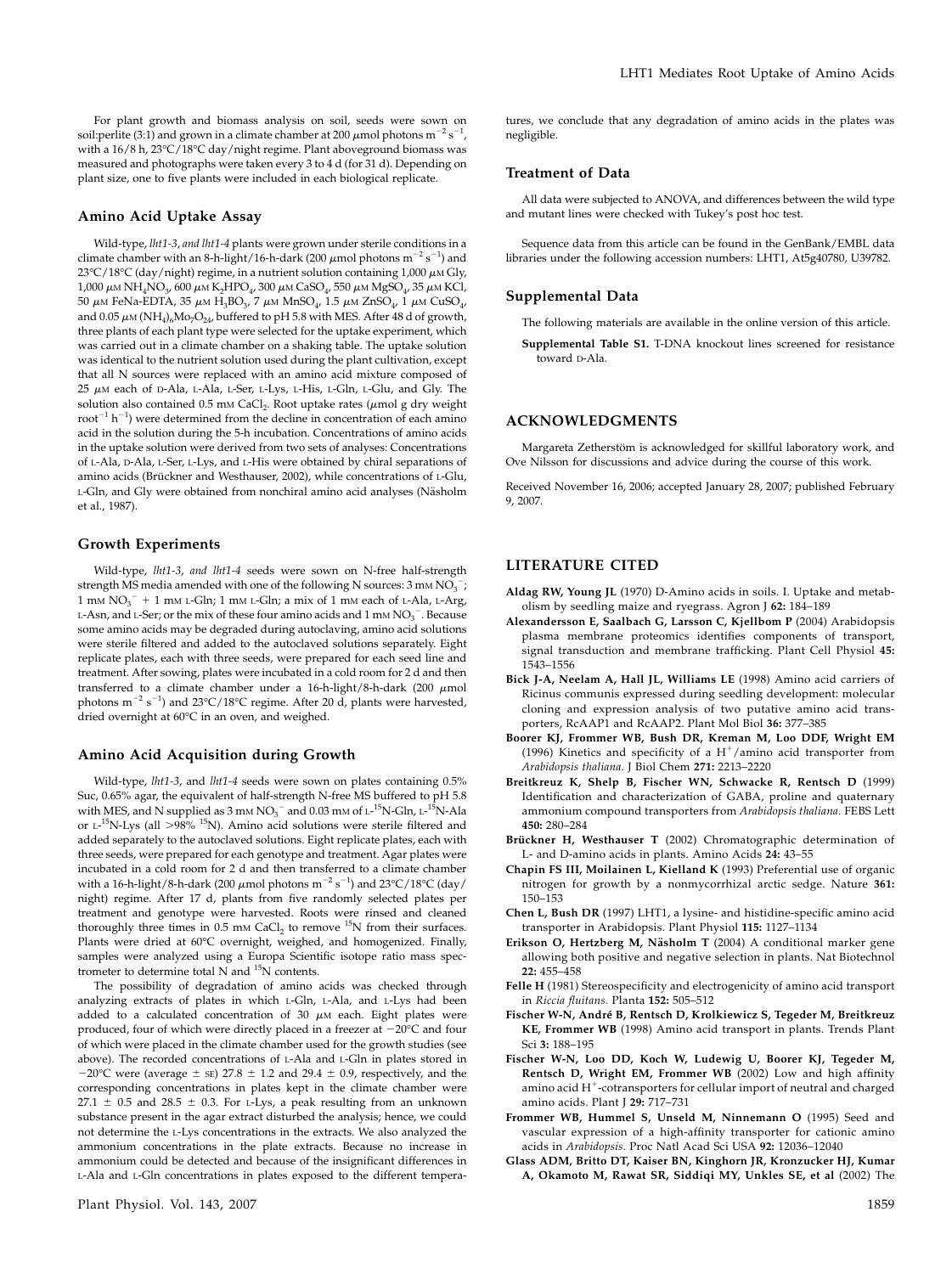For plant growth and biomass analysis on soil, seeds were sown on soil:perlite (3:1) and grown in a climate chamber at 200  $\mu$ mol photons m $^{-2}$  s $^{-1}$ , with a  $16/8$  h,  $23^{\circ}$ C $/18^{\circ}$ C day/night regime. Plant aboveground biomass was measured and photographs were taken every 3 to 4 d (for 31 d). Depending on plant size, one to five plants were included in each biological replicate.

## Amino Acid Uptake Assay

Wild-type, lht1-3, and lht1-4 plants were grown under sterile conditions in a climate chamber with an 8-h-light/16-h-dark (200  $\mu$ mol photons m $^{-2}$  s $^{-1}$ ) and  $23^{\circ}$ C/18°C (day/night) regime, in a nutrient solution containing 1,000  $\mu$ M Gly,  $1,000 \mu$ M NH<sub>4</sub>NO<sub>3</sub>, 600  $\mu$ M K<sub>2</sub>HPO<sub>4</sub>, 300  $\mu$ M CaSO<sub>4</sub>, 550  $\mu$ M MgSO<sub>4</sub>, 35  $\mu$ M KCl, 50 μm FeNa-EDTA, 35 μm  $H_3BO_3$ , 7 μm  $MnSO_4$ , 1.5 μm ZnSO<sub>4</sub>, 1 μm CuSO<sub>4</sub>, and 0.05  $\mu$ M (NH<sub>4</sub>)<sub>6</sub>Mo<sub>7</sub>O<sub>24</sub>, buffered to pH 5.8 with MES. After 48 d of growth, three plants of each plant type were selected for the uptake experiment, which was carried out in a climate chamber on a shaking table. The uptake solution was identical to the nutrient solution used during the plant cultivation, except that all N sources were replaced with an amino acid mixture composed of  $25 \mu$ M each of D-Ala, L-Ala, L-Ser, L-Lys, L-His, L-Gln, L-Glu, and Gly. The solution also contained 0.5 mm CaCl<sub>2</sub>. Root uptake rates ( $\mu$ mol g dry weight  $root^{-1} h^{-1}$ ) were determined from the decline in concentration of each amino acid in the solution during the 5-h incubation. Concentrations of amino acids in the uptake solution were derived from two sets of analyses: Concentrations of L-Ala, D-Ala, L-Ser, L-Lys, and L-His were obtained by chiral separations of amino acids (Brückner and Westhauser, 2002), while concentrations of L-Glu, L-Gln, and Gly were obtained from nonchiral amino acid analyses (Näsholm et al., 1987).

#### Growth Experiments

Wild-type, lht1-3, and lht1-4 seeds were sown on N-free half-strength strength MS media amended with one of the following N sources:  $3 \text{ }\mathrm{mm}\,\mathrm{NO_3}^-$ ; 1 mm  $NO<sub>3</sub><sup>-</sup> + 1$  mm L-Gln; 1 mm L-Gln; a mix of 1 mm each of L-Ala, L-Arg, L-Asn, and L-Ser; or the mix of these four amino acids and  $1 \text{ mm} \text{ NO}_3^{\text{-}}$ . Because some amino acids may be degraded during autoclaving, amino acid solutions were sterile filtered and added to the autoclaved solutions separately. Eight replicate plates, each with three seeds, were prepared for each seed line and treatment. After sowing, plates were incubated in a cold room for 2 d and then transferred to a climate chamber under a 16-h-light/8-h-dark (200  $\mu$ mol photons  $m^{-2}$  s<sup>-1</sup>) and 23°C/18°C regime. After 20 d, plants were harvested, dried overnight at 60°C in an oven, and weighed.

#### Amino Acid Acquisition during Growth

Wild-type, lht1-3, and lht1-4 seeds were sown on plates containing 0.5% Suc, 0.65% agar, the equivalent of half-strength N-free MS buffered to pH 5.8 with MES, and N supplied as 3 mm  $NO<sub>3</sub><sup>-</sup>$  and 0.03 mm of L-<sup>15</sup>N-Gln, L-<sup>15</sup>N-Ala or L- $^{15}$ N-Lys (all  $>98\%$   $^{15}$ N). Amino acid solutions were sterile filtered and added separately to the autoclaved solutions. Eight replicate plates, each with three seeds, were prepared for each genotype and treatment. Agar plates were incubated in a cold room for 2 d and then transferred to a climate chamber with a 16-h-light/8-h-dark (200  $\mu$ mol photons m<sup>-2</sup> s<sup>-1</sup>) and 23°C/18°C (day/ night) regime. After 17 d, plants from five randomly selected plates per treatment and genotype were harvested. Roots were rinsed and cleaned thoroughly three times in 0.5 mm CaCl<sub>2</sub> to remove  $^{15}N$  from their surfaces. Plants were dried at 60°C overnight, weighed, and homogenized. Finally, samples were analyzed using a Europa Scientific isotope ratio mass spectrometer to determine total N and 15N contents.

The possibility of degradation of amino acids was checked through analyzing extracts of plates in which L-Gln, L-Ala, and L-Lys had been added to a calculated concentration of 30  $\mu$ M each. Eight plates were produced, four of which were directly placed in a freezer at  $-20^{\circ}$ C and four of which were placed in the climate chamber used for the growth studies (see above). The recorded concentrations of L-Ala and L-Gln in plates stored in  $-20^{\circ}$ C were (average  $\pm$  sE) 27.8  $\pm$  1.2 and 29.4  $\pm$  0.9, respectively, and the corresponding concentrations in plates kept in the climate chamber were 27.1  $\pm$  0.5 and 28.5  $\pm$  0.3. For L-Lys, a peak resulting from an unknown substance present in the agar extract disturbed the analysis; hence, we could not determine the L-Lys concentrations in the extracts. We also analyzed the ammonium concentrations in the plate extracts. Because no increase in ammonium could be detected and because of the insignificant differences in L-Ala and L-Gln concentrations in plates exposed to the different temperatures, we conclude that any degradation of amino acids in the plates was negligible.

#### Treatment of Data

All data were subjected to ANOVA, and differences between the wild type and mutant lines were checked with Tukey's post hoc test.

Sequence data from this article can be found in the GenBank/EMBL data libraries under the following accession numbers: LHT1, At5g40780, U39782.

#### Supplemental Data

The following materials are available in the online version of this article.

Supplemental Table S1. T-DNA knockout lines screened for resistance toward D-Ala.

#### ACKNOWLEDGMENTS

Margareta Zetherstöm is acknowledged for skillful laboratory work, and Ove Nilsson for discussions and advice during the course of this work.

Received November 16, 2006; accepted January 28, 2007; published February 9, 2007.

# LITERATURE CITED

- Aldag RW, Young JL (1970) D-Amino acids in soils. I. Uptake and metabolism by seedling maize and ryegrass. Agron J 62: 184–189
- Alexandersson E, Saalbach G, Larsson C, Kjellbom P (2004) Arabidopsis plasma membrane proteomics identifies components of transport, signal transduction and membrane trafficking. Plant Cell Physiol 45: 1543–1556
- Bick J-A, Neelam A, Hall JL, Williams LE (1998) Amino acid carriers of Ricinus communis expressed during seedling development: molecular cloning and expression analysis of two putative amino acid transporters, RcAAP1 and RcAAP2. Plant Mol Biol 36: 377–385
- Boorer KJ, Frommer WB, Bush DR, Kreman M, Loo DDF, Wright EM (1996) Kinetics and specificity of a  $H^+$ /amino acid transporter from Arabidopsis thaliana. J Biol Chem 271: 2213–2220
- Breitkreuz K, Shelp B, Fischer WN, Schwacke R, Rentsch D (1999) Identification and characterization of GABA, proline and quaternary ammonium compound transporters from Arabidopsis thaliana. FEBS Lett 450: 280–284
- Brückner H, Westhauser T (2002) Chromatographic determination of L- and D-amino acids in plants. Amino Acids 24: 43–55
- Chapin FS III, Moilainen L, Kielland K (1993) Preferential use of organic nitrogen for growth by a nonmycorrhizal arctic sedge. Nature 361: 150–153
- Chen L, Bush DR (1997) LHT1, a lysine- and histidine-specific amino acid transporter in Arabidopsis. Plant Physiol 115: 1127–1134
- Erikson O, Hertzberg M, Näsholm T (2004) A conditional marker gene allowing both positive and negative selection in plants. Nat Biotechnol 22: 455–458
- Felle H (1981) Stereospecificity and electrogenicity of amino acid transport in Riccia fluitans. Planta 152: 505–512
- Fischer W-N, André B, Rentsch D, Krolkiewicz S, Tegeder M, Breitkreuz KE, Frommer WB (1998) Amino acid transport in plants. Trends Plant Sci 3: 188–195
- Fischer W-N, Loo DD, Koch W, Ludewig U, Boorer KJ, Tegeder M, Rentsch D, Wright EM, Frommer WB (2002) Low and high affinity amino acid  $H^+$ -cotransporters for cellular import of neutral and charged amino acids. Plant J 29: 717–731
- Frommer WB, Hummel S, Unseld M, Ninnemann O (1995) Seed and vascular expression of a high-affinity transporter for cationic amino acids in Arabidopsis. Proc Natl Acad Sci USA 92: 12036–12040
- Glass ADM, Britto DT, Kaiser BN, Kinghorn JR, Kronzucker HJ, Kumar A, Okamoto M, Rawat SR, Siddiqi MY, Unkles SE, et al (2002) The